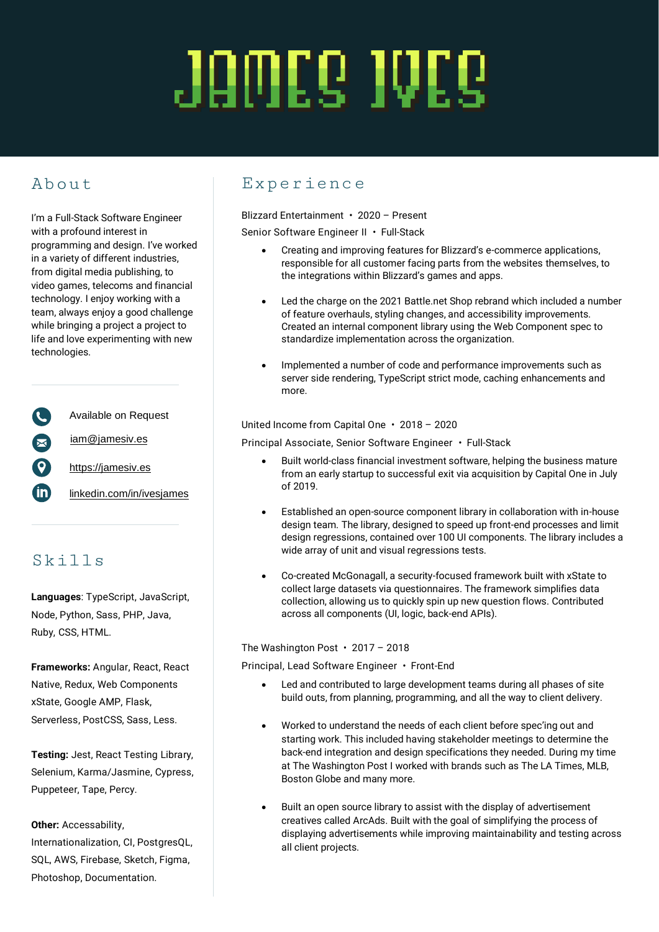# JAWEG IVEG

## About

I'm a Full-Stack Software Engineer with a profound interest in programming and design. I've worked in a variety of different industries, from digital media publishing, to video games, telecoms and financial technology. I enjoy working with a team, always enjoy a good challenge while bringing a project a project to life and love experimenting with new technologies.

Available on Request [iam@jamesiv.es](mailto:iam@jamesiv.es) [https://jamesiv.es](https://jamesiv.es/) in [linkedin.com/in/ivesjames](https://linkedin.com/in/ivesjames)

## Skills

**Languages**: TypeScript, JavaScript, Node, Python, Sass, PHP, Java, Ruby, CSS, HTML.

**Frameworks:** Angular, React, React Native, Redux, Web Components xState, Google AMP, Flask, Serverless, PostCSS, Sass, Less.

**Testing:** Jest, React Testing Library, Selenium, Karma/Jasmine, Cypress, Puppeteer, Tape, Percy.

**Other:** Accessability,

Internationalization, CI, PostgresQL, SQL, AWS, Firebase, Sketch, Figma, Photoshop, Documentation.

### Experience

Blizzard Entertainment • 2020 – Present Senior Software Engineer II • Full-Stack

- Creating and improving features for Blizzard's e-commerce applications, responsible for all customer facing parts from the websites themselves, to the integrations within Blizzard's games and apps.
- Led the charge on the 2021 Battle.net Shop rebrand which included a number of feature overhauls, styling changes, and accessibility improvements. Created an internal component library using the Web Component spec to standardize implementation across the organization.
- Implemented a number of code and performance improvements such as server side rendering, TypeScript strict mode, caching enhancements and more.

United Income from Capital One • 2018 – 2020

Principal Associate, Senior Software Engineer • Full-Stack

- Built world-class financial investment software, helping the business mature from an early startup to successful exit via acquisition by Capital One in July of 2019.
- Established an open-source component library in collaboration with in-house design team. The library, designed to speed up front-end processes and limit design regressions, contained over 100 UI components. The library includes a wide array of unit and visual regressions tests.
- Co-created McGonagall, a security-focused framework built with xState to collect large datasets via questionnaires. The framework simplifies data collection, allowing us to quickly spin up new question flows. Contributed across all components (UI, logic, back-end APIs).

The Washington Post • 2017 – 2018

Principal, Lead Software Engineer • Front-End

- Led and contributed to large development teams during all phases of site build outs, from planning, programming, and all the way to client delivery.
- Worked to understand the needs of each client before spec'ing out and starting work. This included having stakeholder meetings to determine the back-end integration and design specifications they needed. During my time at The Washington Post I worked with brands such as The LA Times, MLB, Boston Globe and many more.
- Built an open source library to assist with the display of advertisement creatives called ArcAds. Built with the goal of simplifying the process of displaying advertisements while improving maintainability and testing across all client projects.